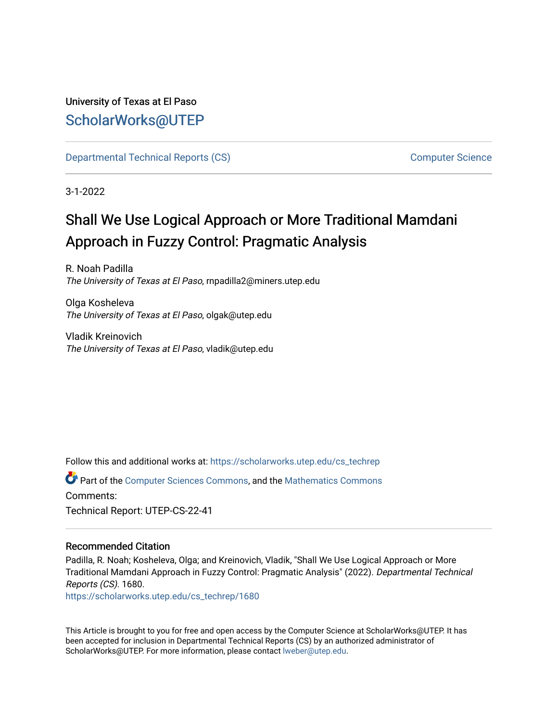# University of Texas at El Paso [ScholarWorks@UTEP](https://scholarworks.utep.edu/)

[Departmental Technical Reports \(CS\)](https://scholarworks.utep.edu/cs_techrep) [Computer Science](https://scholarworks.utep.edu/computer) 

3-1-2022

# Shall We Use Logical Approach or More Traditional Mamdani Approach in Fuzzy Control: Pragmatic Analysis

R. Noah Padilla The University of Texas at El Paso, rnpadilla2@miners.utep.edu

Olga Kosheleva The University of Texas at El Paso, olgak@utep.edu

Vladik Kreinovich The University of Texas at El Paso, vladik@utep.edu

Follow this and additional works at: [https://scholarworks.utep.edu/cs\\_techrep](https://scholarworks.utep.edu/cs_techrep?utm_source=scholarworks.utep.edu%2Fcs_techrep%2F1680&utm_medium=PDF&utm_campaign=PDFCoverPages) 

Part of the [Computer Sciences Commons](http://network.bepress.com/hgg/discipline/142?utm_source=scholarworks.utep.edu%2Fcs_techrep%2F1680&utm_medium=PDF&utm_campaign=PDFCoverPages), and the [Mathematics Commons](http://network.bepress.com/hgg/discipline/174?utm_source=scholarworks.utep.edu%2Fcs_techrep%2F1680&utm_medium=PDF&utm_campaign=PDFCoverPages)  Comments: Technical Report: UTEP-CS-22-41

#### Recommended Citation

Padilla, R. Noah; Kosheleva, Olga; and Kreinovich, Vladik, "Shall We Use Logical Approach or More Traditional Mamdani Approach in Fuzzy Control: Pragmatic Analysis" (2022). Departmental Technical Reports (CS). 1680.

[https://scholarworks.utep.edu/cs\\_techrep/1680](https://scholarworks.utep.edu/cs_techrep/1680?utm_source=scholarworks.utep.edu%2Fcs_techrep%2F1680&utm_medium=PDF&utm_campaign=PDFCoverPages) 

This Article is brought to you for free and open access by the Computer Science at ScholarWorks@UTEP. It has been accepted for inclusion in Departmental Technical Reports (CS) by an authorized administrator of ScholarWorks@UTEP. For more information, please contact [lweber@utep.edu](mailto:lweber@utep.edu).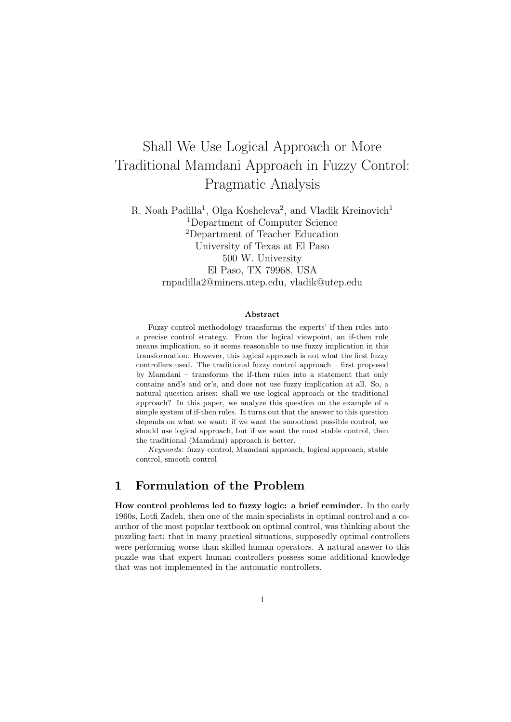# Shall We Use Logical Approach or More Traditional Mamdani Approach in Fuzzy Control: Pragmatic Analysis

R. Noah Padilla<sup>1</sup>, Olga Kosheleva<sup>2</sup>, and Vladik Kreinovich<sup>1</sup> <sup>1</sup>Department of Computer Science <sup>2</sup>Department of Teacher Education University of Texas at El Paso 500 W. University El Paso, TX 79968, USA rnpadilla2@miners.utep.edu, vladik@utep.edu

#### Abstract

Fuzzy control methodology transforms the experts' if-then rules into a precise control strategy. From the logical viewpoint, an if-then rule means implication, so it seems reasonable to use fuzzy implication in this transformation. However, this logical approach is not what the first fuzzy controllers used. The traditional fuzzy control approach – first proposed by Mamdani – transforms the if-then rules into a statement that only contains and's and or's, and does not use fuzzy implication at all. So, a natural question arises: shall we use logical approach or the traditional approach? In this paper, we analyze this question on the example of a simple system of if-then rules. It turns out that the answer to this question depends on what we want: if we want the smoothest possible control, we should use logical approach, but if we want the most stable control, then the traditional (Mamdani) approach is better.

Keywords: fuzzy control, Mamdani approach, logical approach, stable control, smooth control

#### 1 Formulation of the Problem

How control problems led to fuzzy logic: a brief reminder. In the early 1960s, Lotfi Zadeh, then one of the main specialists in optimal control and a coauthor of the most popular textbook on optimal control, was thinking about the puzzling fact: that in many practical situations, supposedly optimal controllers were performing worse than skilled human operators. A natural answer to this puzzle was that expert human controllers possess some additional knowledge that was not implemented in the automatic controllers.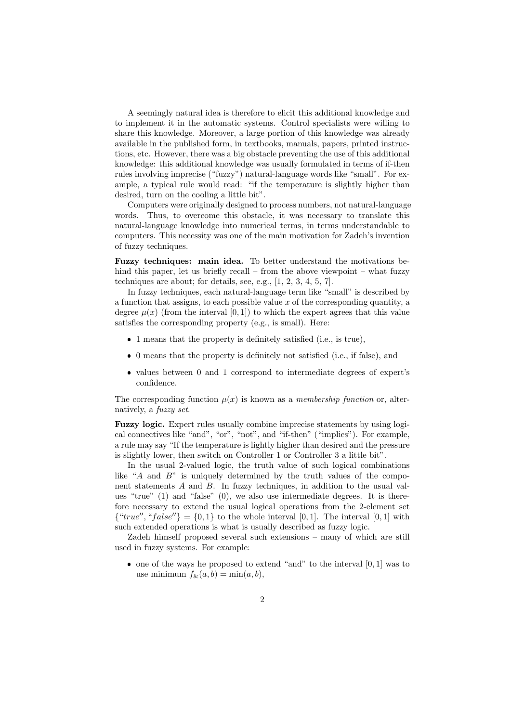A seemingly natural idea is therefore to elicit this additional knowledge and to implement it in the automatic systems. Control specialists were willing to share this knowledge. Moreover, a large portion of this knowledge was already available in the published form, in textbooks, manuals, papers, printed instructions, etc. However, there was a big obstacle preventing the use of this additional knowledge: this additional knowledge was usually formulated in terms of if-then rules involving imprecise ("fuzzy") natural-language words like "small". For example, a typical rule would read: "if the temperature is slightly higher than desired, turn on the cooling a little bit".

Computers were originally designed to process numbers, not natural-language words. Thus, to overcome this obstacle, it was necessary to translate this natural-language knowledge into numerical terms, in terms understandable to computers. This necessity was one of the main motivation for Zadeh's invention of fuzzy techniques.

Fuzzy techniques: main idea. To better understand the motivations behind this paper, let us briefly recall – from the above viewpoint – what fuzzy techniques are about; for details, see, e.g., [1, 2, 3, 4, 5, 7].

In fuzzy techniques, each natural-language term like "small" is described by a function that assigns, to each possible value  $x$  of the corresponding quantity, a degree  $\mu(x)$  (from the interval [0, 1]) to which the expert agrees that this value satisfies the corresponding property (e.g., is small). Here:

- 1 means that the property is definitely satisfied (i.e., is true),
- 0 means that the property is definitely not satisfied (i.e., if false), and
- values between 0 and 1 correspond to intermediate degrees of expert's confidence.

The corresponding function  $\mu(x)$  is known as a *membership function* or, alternatively, a fuzzy set.

Fuzzy logic. Expert rules usually combine imprecise statements by using logical connectives like "and", "or", "not", and "if-then" ("implies"). For example, a rule may say "If the temperature is lightly higher than desired and the pressure is slightly lower, then switch on Controller 1 or Controller 3 a little bit".

In the usual 2-valued logic, the truth value of such logical combinations like "A and B" is uniquely determined by the truth values of the component statements A and B. In fuzzy techniques, in addition to the usual values "true" (1) and "false" (0), we also use intermediate degrees. It is therefore necessary to extend the usual logical operations from the 2-element set  $\{``true'', ``false''\} = \{0,1\}$  to the whole interval [0, 1]. The interval [0, 1] with such extended operations is what is usually described as fuzzy logic.

Zadeh himself proposed several such extensions – many of which are still used in fuzzy systems. For example:

 $\bullet$  one of the ways he proposed to extend "and" to the interval  $[0,1]$  was to use minimum  $f_{\&}(a, b) = \min(a, b),$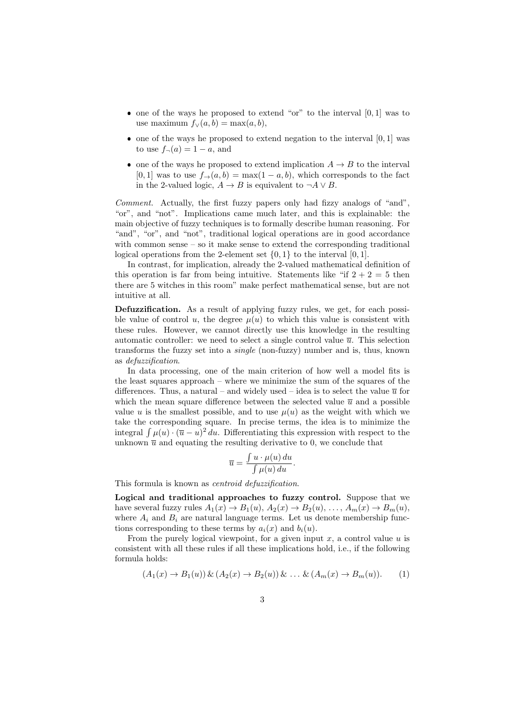- $\bullet$  one of the ways he proposed to extend "or" to the interval  $[0, 1]$  was to use maximum  $f_{\vee}(a, b) = \max(a, b),$
- $\bullet$  one of the ways he proposed to extend negation to the interval  $[0, 1]$  was to use  $f_{\neg}(a) = 1 - a$ , and
- one of the ways he proposed to extend implication  $A \rightarrow B$  to the interval [0, 1] was to use  $f_{\rightarrow}(a, b) = \max(1 - a, b)$ , which corresponds to the fact in the 2-valued logic,  $A \rightarrow B$  is equivalent to  $\neg A \lor B$ .

Comment. Actually, the first fuzzy papers only had fizzy analogs of "and". "or", and "not". Implications came much later, and this is explainable: the main objective of fuzzy techniques is to formally describe human reasoning. For "and", "or", and "not", traditional logical operations are in good accordance with common sense – so it make sense to extend the corresponding traditional logical operations from the 2-element set  $\{0, 1\}$  to the interval  $[0, 1]$ .

In contrast, for implication, already the 2-valued mathematical definition of this operation is far from being intuitive. Statements like "if  $2 + 2 = 5$  then there are 5 witches in this room" make perfect mathematical sense, but are not intuitive at all.

Defuzzification. As a result of applying fuzzy rules, we get, for each possible value of control u, the degree  $\mu(u)$  to which this value is consistent with these rules. However, we cannot directly use this knowledge in the resulting automatic controller: we need to select a single control value  $\bar{u}$ . This selection transforms the fuzzy set into a single (non-fuzzy) number and is, thus, known as defuzzification.

In data processing, one of the main criterion of how well a model fits is the least squares approach – where we minimize the sum of the squares of the differences. Thus, a natural – and widely used – idea is to select the value  $\bar{u}$  for which the mean square difference between the selected value  $\bar{u}$  and a possible value u is the smallest possible, and to use  $\mu(u)$  as the weight with which we take the corresponding square. In precise terms, the idea is to minimize the integral  $\int \mu(u) \cdot (\overline{u} - u)^2 du$ . Differentiating this expression with respect to the unknown  $\bar{u}$  and equating the resulting derivative to 0, we conclude that

$$
\overline{u} = \frac{\int u \cdot \mu(u) \, du}{\int \mu(u) \, du}.
$$

This formula is known as centroid defuzzification.

Logical and traditional approaches to fuzzy control. Suppose that we have several fuzzy rules  $A_1(x) \to B_1(u), A_2(x) \to B_2(u), \ldots, A_m(x) \to B_m(u),$ where  $A_i$  and  $B_i$  are natural language terms. Let us denote membership functions corresponding to these terms by  $a_i(x)$  and  $b_i(u)$ .

From the purely logical viewpoint, for a given input  $x$ , a control value  $u$  is consistent with all these rules if all these implications hold, i.e., if the following formula holds:

$$
(A_1(x) \to B_1(u)) \& (A_2(x) \to B_2(u)) \& \dots \& (A_m(x) \to B_m(u)).
$$
 (1)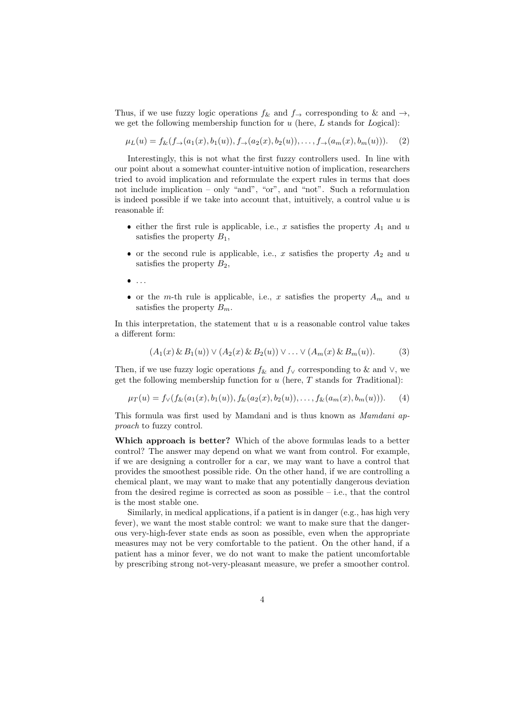Thus, if we use fuzzy logic operations  $f_{\&}$  and  $f_{\rightarrow}$  corresponding to  $\&$  and  $\rightarrow$ , we get the following membership function for  $u$  (here,  $L$  stands for  $Logical)$ :

$$
\mu_L(u) = f_{\&}(f_{\rightarrow}(a_1(x), b_1(u)), f_{\rightarrow}(a_2(x), b_2(u)), \dots, f_{\rightarrow}(a_m(x), b_m(u))). \tag{2}
$$

Interestingly, this is not what the first fuzzy controllers used. In line with our point about a somewhat counter-intuitive notion of implication, researchers tried to avoid implication and reformulate the expert rules in terms that does not include implication – only "and", "or", and "not". Such a reformulation is indeed possible if we take into account that, intuitively, a control value  $u$  is reasonable if:

- either the first rule is applicable, i.e.,  $x$  satisfies the property  $A_1$  and  $u$ satisfies the property  $B_1$ ,
- or the second rule is applicable, i.e., x satisfies the property  $A_2$  and u satisfies the property  $B_2$ ,
- $\bullet$ . . .
- or the m-th rule is applicable, i.e., x satisfies the property  $A_m$  and u satisfies the property  $B_m$ .

In this interpretation, the statement that  $u$  is a reasonable control value takes a different form:

$$
(A_1(x) \& B_1(u)) \vee (A_2(x) \& B_2(u)) \vee \ldots \vee (A_m(x) \& B_m(u)).
$$
 (3)

Then, if we use fuzzy logic operations  $f_{\&}$  and  $f_{\vee}$  corresponding to  $\&$  and  $\vee$ , we get the following membership function for  $u$  (here,  $T$  stands for Traditional):

$$
\mu_T(u) = f_\vee(f_{\&}(a_1(x), b_1(u)), f_{\&}(a_2(x), b_2(u)), \dots, f_{\&}(a_m(x), b_m(u))). \tag{4}
$$

This formula was first used by Mamdani and is thus known as Mamdani approach to fuzzy control.

Which approach is better? Which of the above formulas leads to a better control? The answer may depend on what we want from control. For example, if we are designing a controller for a car, we may want to have a control that provides the smoothest possible ride. On the other hand, if we are controlling a chemical plant, we may want to make that any potentially dangerous deviation from the desired regime is corrected as soon as possible – i.e., that the control is the most stable one.

Similarly, in medical applications, if a patient is in danger (e.g., has high very fever), we want the most stable control: we want to make sure that the dangerous very-high-fever state ends as soon as possible, even when the appropriate measures may not be very comfortable to the patient. On the other hand, if a patient has a minor fever, we do not want to make the patient uncomfortable by prescribing strong not-very-pleasant measure, we prefer a smoother control.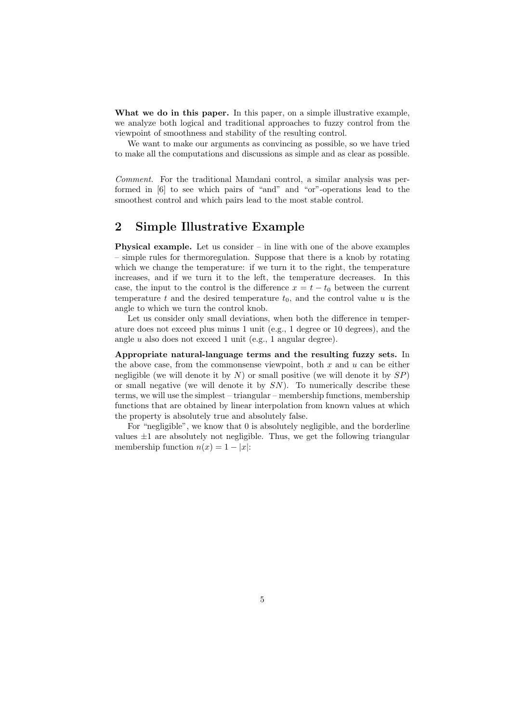What we do in this paper. In this paper, on a simple illustrative example, we analyze both logical and traditional approaches to fuzzy control from the viewpoint of smoothness and stability of the resulting control.

We want to make our arguments as convincing as possible, so we have tried to make all the computations and discussions as simple and as clear as possible.

Comment. For the traditional Mamdani control, a similar analysis was performed in [6] to see which pairs of "and" and "or"-operations lead to the smoothest control and which pairs lead to the most stable control.

#### 2 Simple Illustrative Example

**Physical example.** Let us consider  $-$  in line with one of the above examples – simple rules for thermoregulation. Suppose that there is a knob by rotating which we change the temperature: if we turn it to the right, the temperature increases, and if we turn it to the left, the temperature decreases. In this case, the input to the control is the difference  $x = t - t_0$  between the current temperature t and the desired temperature  $t_0$ , and the control value u is the angle to which we turn the control knob.

Let us consider only small deviations, when both the difference in temperature does not exceed plus minus 1 unit (e.g., 1 degree or 10 degrees), and the angle u also does not exceed 1 unit (e.g., 1 angular degree).

Appropriate natural-language terms and the resulting fuzzy sets. In the above case, from the commonsense viewpoint, both  $x$  and  $u$  can be either negligible (we will denote it by  $N$ ) or small positive (we will denote it by  $SP$ ) or small negative (we will denote it by  $SN$ ). To numerically describe these terms, we will use the simplest – triangular – membership functions, membership functions that are obtained by linear interpolation from known values at which the property is absolutely true and absolutely false.

For "negligible", we know that 0 is absolutely negligible, and the borderline values  $\pm 1$  are absolutely not negligible. Thus, we get the following triangular membership function  $n(x) = 1 - |x|$ :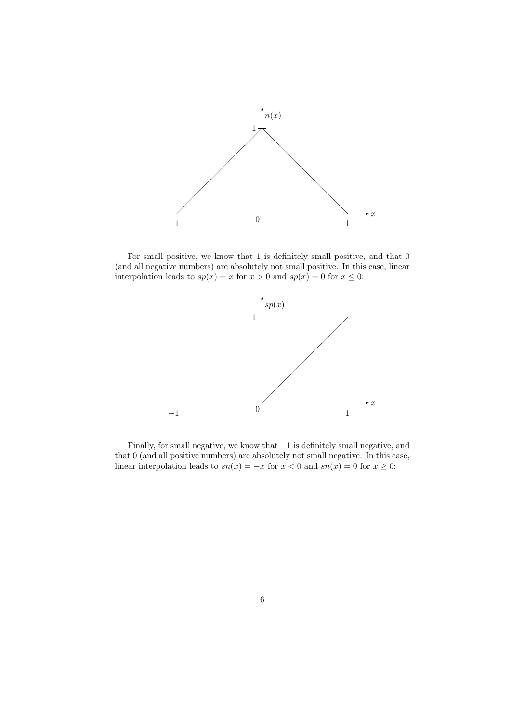

For small positive, we know that 1 is definitely small positive, and that 0 (and all negative numbers) are absolutely not small positive. In this case, linear interpolation leads to  $sp(x) = x$  for  $x > 0$  and  $sp(x) = 0$  for  $x \le 0$ :



Finally, for small negative, we know that −1 is definitely small negative, and that 0 (and all positive numbers) are absolutely not small negative. In this case, linear interpolation leads to  $sn(x) = -x$  for  $x < 0$  and  $sn(x) = 0$  for  $x \ge 0$ .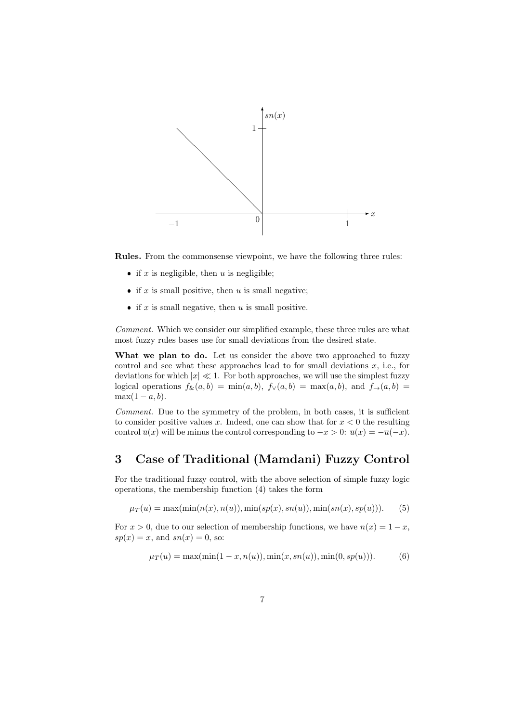

Rules. From the commonsense viewpoint, we have the following three rules:

- if x is negligible, then u is negligible;
- if x is small positive, then u is small negative;
- if  $x$  is small negative, then  $u$  is small positive.

Comment. Which we consider our simplified example, these three rules are what most fuzzy rules bases use for small deviations from the desired state.

What we plan to do. Let us consider the above two approached to fuzzy control and see what these approaches lead to for small deviations  $x$ , i.e., for deviations for which  $|x| \ll 1$ . For both approaches, we will use the simplest fuzzy logical operations  $f_{\&}(a, b) = \min(a, b), f_{\vee}(a, b) = \max(a, b),$  and  $f_{\rightarrow}(a, b) =$  $\max(1-a, b)$ .

Comment. Due to the symmetry of the problem, in both cases, it is sufficient to consider positive values x. Indeed, one can show that for  $x < 0$  the resulting control  $\overline{u}(x)$  will be minus the control corresponding to  $-x > 0$ :  $\overline{u}(x) = -\overline{u}(-x)$ .

### 3 Case of Traditional (Mamdani) Fuzzy Control

For the traditional fuzzy control, with the above selection of simple fuzzy logic operations, the membership function (4) takes the form

 $\mu_T(u) = \max(\min(n(x), n(u)), \min(sp(x), sn(u)), \min(sn(x), sp(u))).$  (5)

For  $x > 0$ , due to our selection of membership functions, we have  $n(x) = 1 - x$ ,  $sp(x) = x$ , and  $sn(x) = 0$ , so:

$$
\mu_T(u) = \max(\min(1 - x, n(u)), \min(x, sn(u)), \min(0, sp(u))).
$$
 (6)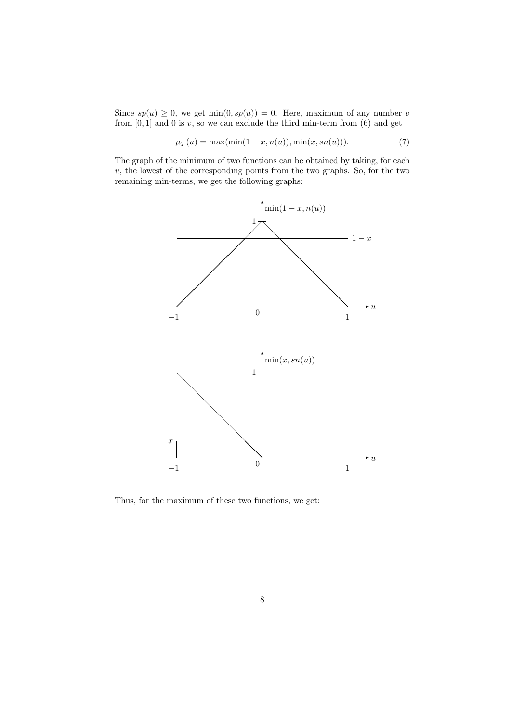Since  $sp(u) \geq 0$ , we get min $(0, sp(u)) = 0$ . Here, maximum of any number v from  $[0, 1]$  and 0 is  $v$ , so we can exclude the third min-term from  $(6)$  and get

$$
\mu_T(u) = \max(\min(1 - x, n(u)), \min(x, sn(u))).
$$
 (7)

The graph of the minimum of two functions can be obtained by taking, for each  $u$ , the lowest of the corresponding points from the two graphs. So, for the two remaining min-terms, we get the following graphs:



Thus, for the maximum of these two functions, we get: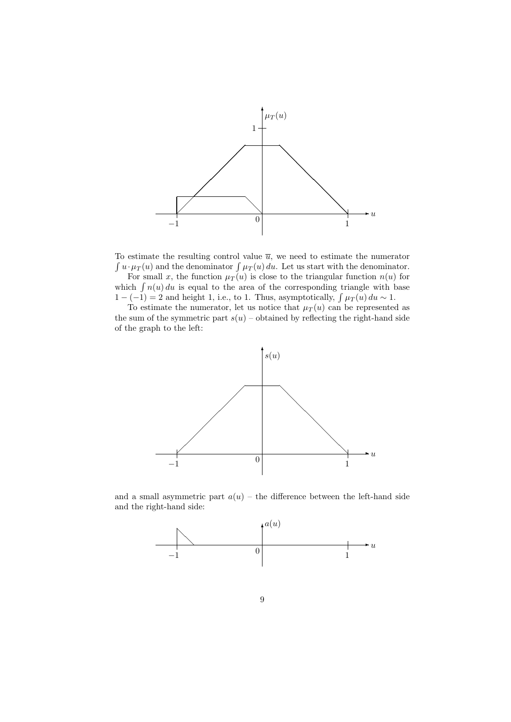

To estimate the resulting control value  $\bar{u}$ , we need to estimate the numerator  $\int u \cdot \mu_T(u)$  and the denominator  $\int \mu_T(u) du$ . Let us start with the denominator.

For small x, the function  $\mu_T(u)$  is close to the triangular function  $n(u)$  for which  $\int n(u) du$  is equal to the area of the corresponding triangle with base  $1 - (-1) = 2$  and height 1, i.e., to 1. Thus, asymptotically,  $\int \mu_T(u) du \sim 1$ .

To estimate the numerator, let us notice that  $\mu_T(u)$  can be represented as the sum of the symmetric part  $s(u)$  – obtained by reflecting the right-hand side of the graph to the left:



and a small asymmetric part  $a(u)$  – the difference between the left-hand side and the right-hand side:

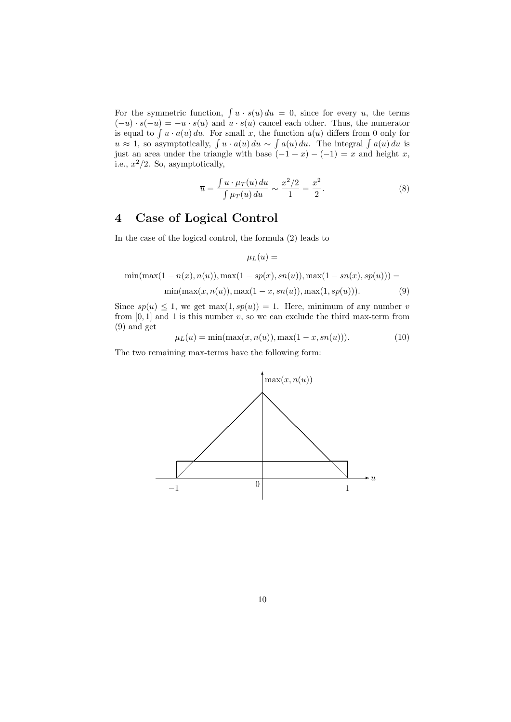For the symmetric function,  $\int u \cdot s(u) du = 0$ , since for every u, the terms  $(-u) \cdot s(-u) = -u \cdot s(u)$  and  $u \cdot s(u)$  cancel each other. Thus, the numerator is equal to  $\int u \cdot a(u) du$ . For small x, the function  $a(u)$  differs from 0 only for  $u \approx 1$ , so asymptotically,  $\int u \cdot a(u) du \sim \int a(u) du$ . The integral  $\int a(u) du$  is just an area under the triangle with base  $(-1 + x) - (-1) = x$  and height x, i.e.,  $x^2/2$ . So, asymptotically,

$$
\overline{u} = \frac{\int u \cdot \mu_T(u) \, du}{\int \mu_T(u) \, du} \sim \frac{x^2/2}{1} = \frac{x^2}{2}.
$$
\n(8)

### 4 Case of Logical Control

In the case of the logical control, the formula (2) leads to

$$
\mu_L(u) =
$$

$$
\min(\max(1 - n(x), n(u)), \max(1 - sp(x), sn(u)), \max(1 - sn(x), sp(u))) = \min(\max(x, n(u)), \max(1 - x, sn(u)), \max(1, sp(u))).
$$
\n(9)

Since  $sp(u) \leq 1$ , we get max $(1, sp(u)) = 1$ . Here, minimum of any number v from  $[0, 1]$  and 1 is this number v, so we can exclude the third max-term from (9) and get

$$
\mu_L(u) = \min(\max(x, n(u)), \max(1 - x, sn(u))). \tag{10}
$$

The two remaining max-terms have the following form:

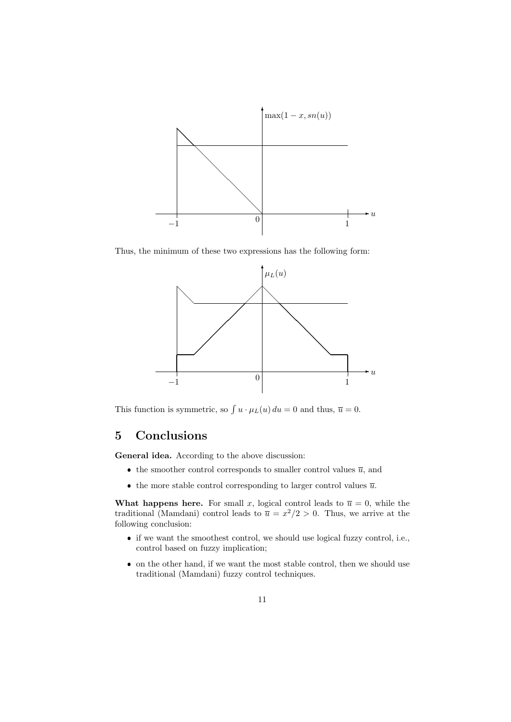

Thus, the minimum of these two expressions has the following form:



This function is symmetric, so  $\int u \cdot \mu_L(u) du = 0$  and thus,  $\overline{u} = 0$ .

## 5 Conclusions

General idea. According to the above discussion:

- the smoother control corresponds to smaller control values  $\overline{u}$ , and
- the more stable control corresponding to larger control values  $\overline{u}$ .

What happens here. For small x, logical control leads to  $\overline{u} = 0$ , while the traditional (Mamdani) control leads to  $\overline{u} = x^2/2 > 0$ . Thus, we arrive at the following conclusion:

- if we want the smoothest control, we should use logical fuzzy control, i.e., control based on fuzzy implication;
- on the other hand, if we want the most stable control, then we should use traditional (Mamdani) fuzzy control techniques.